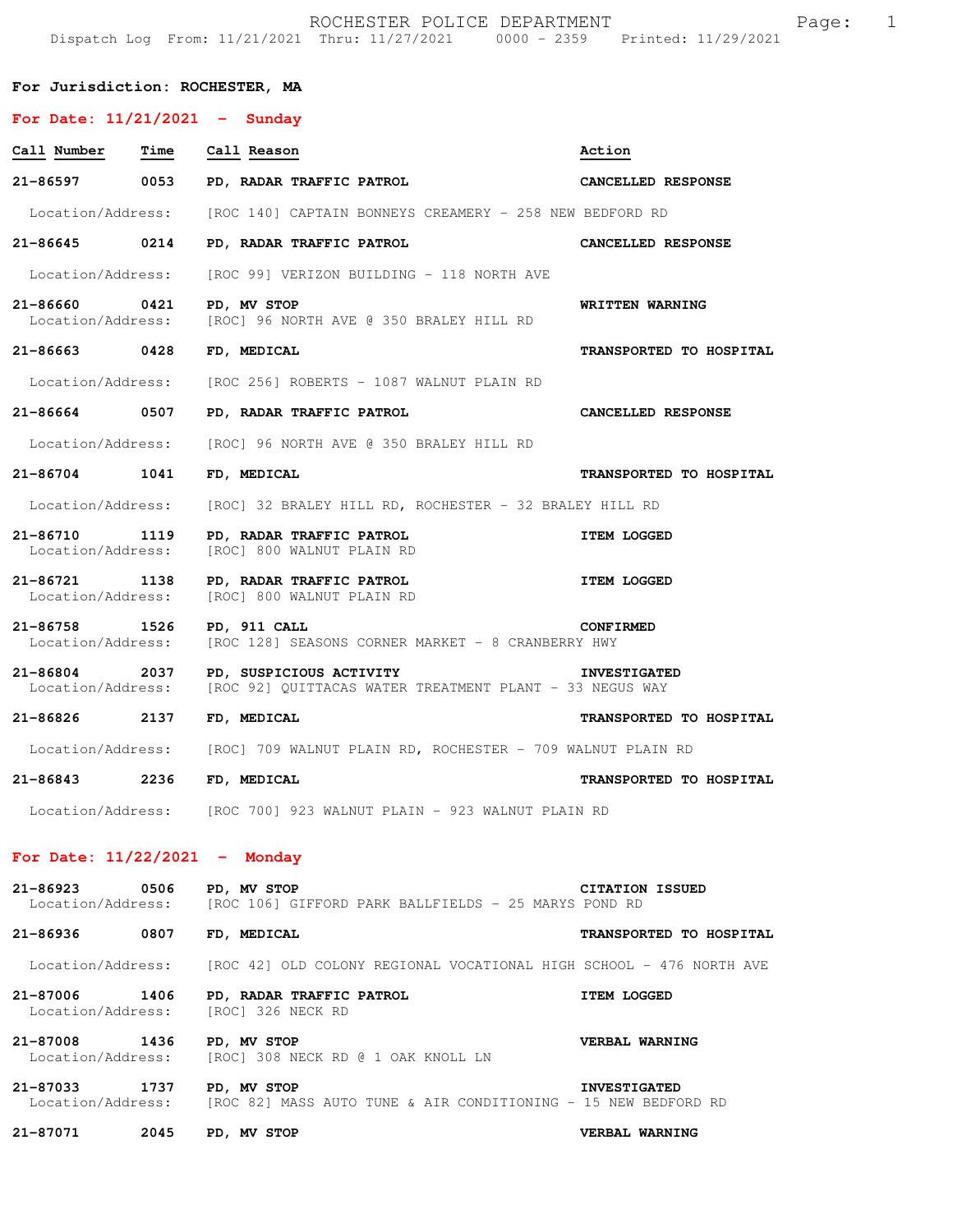## **For Jurisdiction: ROCHESTER, MA**

| For Date: $11/21/2021$ - Sunday    |      |                                                                                                           |                                |
|------------------------------------|------|-----------------------------------------------------------------------------------------------------------|--------------------------------|
| Call Number Time                   |      | Call Reason                                                                                               | Action                         |
|                                    |      | 21-86597 0053 PD, RADAR TRAFFIC PATROL                                                                    | CANCELLED RESPONSE             |
|                                    |      | Location/Address: [ROC 140] CAPTAIN BONNEYS CREAMERY - 258 NEW BEDFORD RD                                 |                                |
|                                    |      | 21-86645 0214 PD, RADAR TRAFFIC PATROL                                                                    | CANCELLED RESPONSE             |
|                                    |      | Location/Address: [ROC 99] VERIZON BUILDING - 118 NORTH AVE                                               |                                |
| 21-86660 0421<br>Location/Address: |      | PD, MV STOP<br>[ROC] 96 NORTH AVE @ 350 BRALEY HILL RD                                                    | WRITTEN WARNING                |
| 21-86663 0428                      |      | <b>FD, MEDICAL</b>                                                                                        | TRANSPORTED TO HOSPITAL        |
|                                    |      | Location/Address: [ROC 256] ROBERTS - 1087 WALNUT PLAIN RD                                                |                                |
|                                    |      | 21-86664 0507 PD, RADAR TRAFFIC PATROL                                                                    | CANCELLED RESPONSE             |
|                                    |      | Location/Address: [ROC] 96 NORTH AVE @ 350 BRALEY HILL RD                                                 |                                |
| 21-86704 1041                      |      | FD, MEDICAL                                                                                               | TRANSPORTED TO HOSPITAL        |
|                                    |      | Location/Address: [ROC] 32 BRALEY HILL RD, ROCHESTER - 32 BRALEY HILL RD                                  |                                |
| 21-86710 1119                      |      | PD, RADAR TRAFFIC PATROL<br>Location/Address: [ROC] 800 WALNUT PLAIN RD                                   | <b>ITEM LOGGED</b>             |
| 21-86721                           |      | 1138 PD, RADAR TRAFFIC PATROL<br>Location/Address: [ROC] 800 WALNUT PLAIN RD                              | <b>ITEM LOGGED</b>             |
| 21-86758 1526                      |      | PD, 911 CALL<br>Location/Address: [ROC 128] SEASONS CORNER MARKET - 8 CRANBERRY HWY                       | <b>CONFIRMED</b>               |
| 21-86804                           |      | 2037 PD, SUSPICIOUS ACTIVITY<br>Location/Address: [ROC 92] QUITTACAS WATER TREATMENT PLANT - 33 NEGUS WAY | <b>INVESTIGATED</b>            |
| 21-86826 2137                      |      | FD, MEDICAL                                                                                               | TRANSPORTED TO HOSPITAL        |
|                                    |      | Location/Address: [ROC] 709 WALNUT PLAIN RD, ROCHESTER - 709 WALNUT PLAIN RD                              |                                |
| 21-86843 2236 FD, MEDICAL          |      |                                                                                                           | TRANSPORTED TO HOSPITAL        |
|                                    |      | Location/Address: [ROC 700] 923 WALNUT PLAIN - 923 WALNUT PLAIN RD                                        |                                |
| For Date: $11/22/2021$ - Monday    |      |                                                                                                           |                                |
| 21-86923<br>Location/Address:      | 0506 | PD, MV STOP<br>[ROC 106] GIFFORD PARK BALLFIELDS - 25 MARYS POND RD                                       | <b>CITATION ISSUED</b>         |
| 21-86936                           | 0807 | FD, MEDICAL                                                                                               | <b>TRANSPORTED TO HOSPITAL</b> |
| Location/Address:                  |      | [ROC 42] OLD COLONY REGIONAL VOCATIONAL HIGH SCHOOL - 476 NORTH AVE                                       |                                |
| 21-87006<br>Location/Address:      | 1406 | PD, RADAR TRAFFIC PATROL<br>[ROC] 326 NECK RD                                                             | <b>ITEM LOGGED</b>             |
| 21-87008<br>Location/Address:      | 1436 | PD, MV STOP<br>[ROC] 308 NECK RD @ 1 OAK KNOLL LN                                                         | VERBAL WARNING                 |

**21-87033 1737 PD, MV STOP INVESTIGATED**  Location/Address: [ROC 82] MASS AUTO TUNE & AIR CONDITIONING - 15 NEW BEDFORD RD

**21-87071 2045 PD, MV STOP VERBAL WARNING**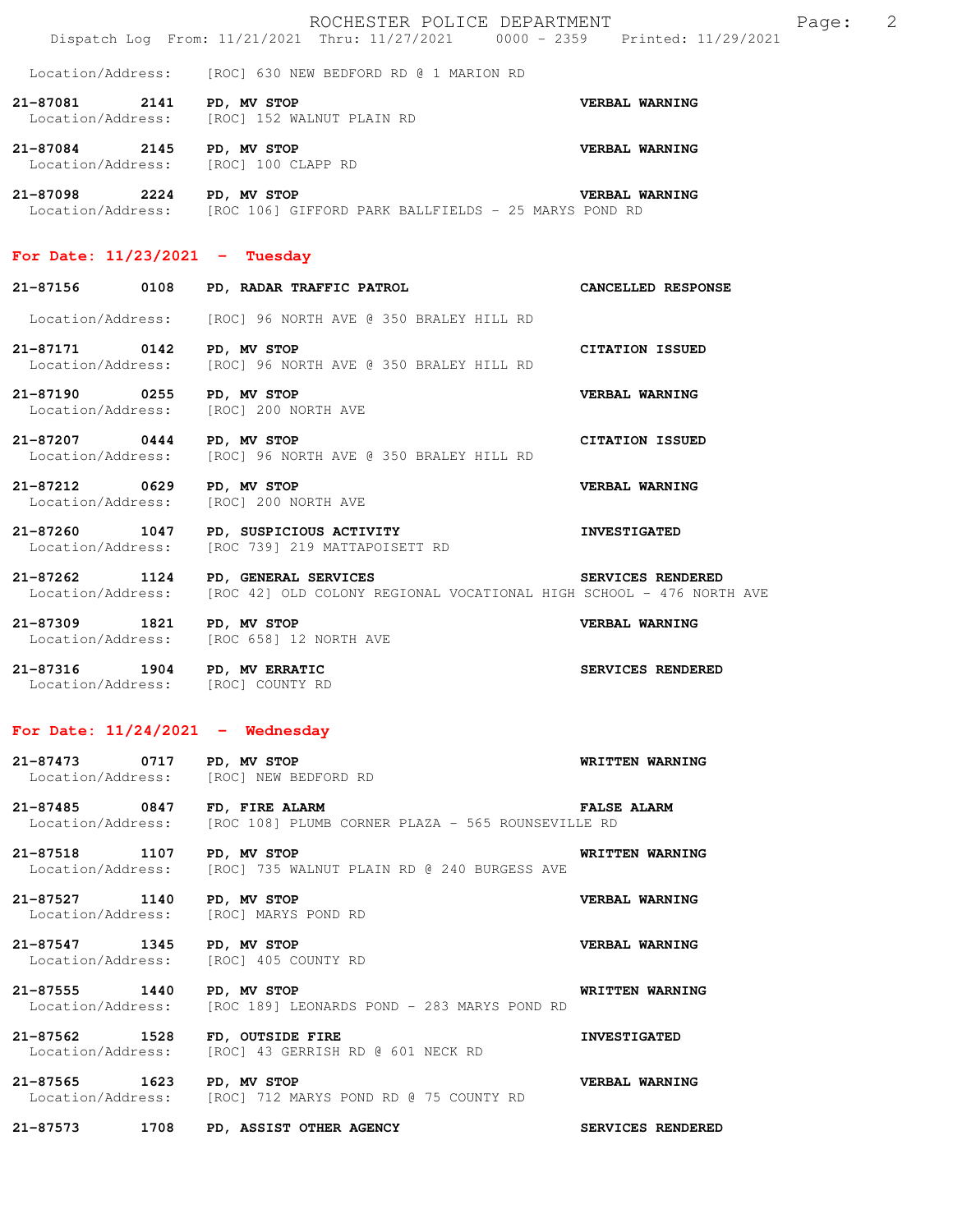|                                                                   | ROCHESTER POLICE DEPARTMENT<br>Dispatch Log From: 11/21/2021 Thru: 11/27/2021 0000 - 2359 Printed: 11/29/2021                                                                                                                                     |                          | $\overline{\phantom{0}}$ 2<br>Page: |  |
|-------------------------------------------------------------------|---------------------------------------------------------------------------------------------------------------------------------------------------------------------------------------------------------------------------------------------------|--------------------------|-------------------------------------|--|
|                                                                   | Location/Address: [ROC] 630 NEW BEDFORD RD @ 1 MARION RD                                                                                                                                                                                          |                          |                                     |  |
| 21-87081 2141 PD, MV STOP                                         | Location/Address: [ROC] 152 WALNUT PLAIN RD                                                                                                                                                                                                       | <b>VERBAL WARNING</b>    |                                     |  |
| 21-87084 2145 PD, MV STOP                                         | Location/Address: [ROC] 100 CLAPP RD                                                                                                                                                                                                              | <b>VERBAL WARNING</b>    |                                     |  |
| 21-87098 2224 PD, MV STOP                                         | Location/Address: [ROC 106] GIFFORD PARK BALLFIELDS - 25 MARYS POND RD                                                                                                                                                                            | <b>VERBAL WARNING</b>    |                                     |  |
| For Date: $11/23/2021$ - Tuesday                                  |                                                                                                                                                                                                                                                   |                          |                                     |  |
|                                                                   | 21-87156 0108 PD, RADAR TRAFFIC PATROL CANCELLED RESPONSE                                                                                                                                                                                         |                          |                                     |  |
|                                                                   | Location/Address: [ROC] 96 NORTH AVE @ 350 BRALEY HILL RD                                                                                                                                                                                         |                          |                                     |  |
| 21-87171 0142 PD, MV STOP                                         | Location/Address: [ROC] 96 NORTH AVE @ 350 BRALEY HILL RD                                                                                                                                                                                         | CITATION ISSUED          |                                     |  |
| 21-87190 0255 PD, MV STOP                                         | Location/Address: [ROC] 200 NORTH AVE                                                                                                                                                                                                             | VERBAL WARNING           |                                     |  |
| 21-87207 0444 PD, MV STOP                                         | Location/Address: [ROC] 96 NORTH AVE @ 350 BRALEY HILL RD                                                                                                                                                                                         | CITATION ISSUED          |                                     |  |
| 21-87212 0629 PD, MV STOP                                         | Location/Address: [ROC] 200 NORTH AVE                                                                                                                                                                                                             | <b>VERBAL WARNING</b>    |                                     |  |
|                                                                   | 21-87260 1047 PD, SUSPICIOUS ACTIVITY<br>Location (Address: $\frac{1800 \times 7391 \times 219 \text{ MATTADOISTETT} \text{ PD}}{210 \times 7391 \times 219 \text{ MATTADOISTETT} \text{ PD}}$<br>Location/Address: [ROC 739] 219 MATTAPOISETT RD | <b>INVESTIGATED</b>      |                                     |  |
|                                                                   | 21-87262 1124 PD, GENERAL SERVICES<br>Location/Address: [ROC 42] OLD COLONY REGIONAL VOCATIONAL HIGH SCHOOL - 476 NORTH AVE                                                                                                                       | <b>SERVICES RENDERED</b> |                                     |  |
| 21-87309 1821 PD, MV STOP                                         | Location/Address: [ROC 658] 12 NORTH AVE                                                                                                                                                                                                          | <b>VERBAL WARNING</b>    |                                     |  |
| 21-87316 1904 PD, MV ERRATIC<br>Location/Address: [ROC] COUNTY RD |                                                                                                                                                                                                                                                   | SERVICES RENDERED        |                                     |  |
| For Date: $11/24/2021$ - Wednesday                                |                                                                                                                                                                                                                                                   |                          |                                     |  |
| 21-87473 0717 PD, MV STOP                                         | Location/Address: [ROC] NEW BEDFORD RD                                                                                                                                                                                                            | WRITTEN WARNING          |                                     |  |
| 21-87485 0847 FD, FIRE ALARM                                      | Location/Address: [ROC 108] PLUMB CORNER PLAZA - 565 ROUNSEVILLE RD                                                                                                                                                                               | <b>FALSE ALARM</b>       |                                     |  |
| 21-87518 1107 PD, MV STOP                                         | Location/Address: [ROC] 735 WALNUT PLAIN RD @ 240 BURGESS AVE                                                                                                                                                                                     | WRITTEN WARNING          |                                     |  |
| 21-87527 1140 PD, MV STOP                                         | Location/Address: [ROC] MARYS POND RD                                                                                                                                                                                                             | VERBAL WARNING           |                                     |  |
| 21-87547 1345 PD, MV STOP                                         | Location/Address: [ROC] 405 COUNTY RD                                                                                                                                                                                                             | VERBAL WARNING           |                                     |  |
| 21-87555 1440 PD, MV STOP                                         | Location/Address: [ROC 189] LEONARDS POND - 283 MARYS POND RD                                                                                                                                                                                     | WRITTEN WARNING          |                                     |  |
| 21-87562 1528 FD, OUTSIDE FIRE                                    | Location/Address: [ROC] 43 GERRISH RD @ 601 NECK RD                                                                                                                                                                                               | <b>INVESTIGATED</b>      |                                     |  |
| 21-87565 1623 PD, MV STOP                                         | Location/Address: [ROC] 712 MARYS POND RD @ 75 COUNTY RD                                                                                                                                                                                          | <b>VERBAL WARNING</b>    |                                     |  |
|                                                                   | 21-87573 1708 PD, ASSIST OTHER AGENCY                                                                                                                                                                                                             | SERVICES RENDERED        |                                     |  |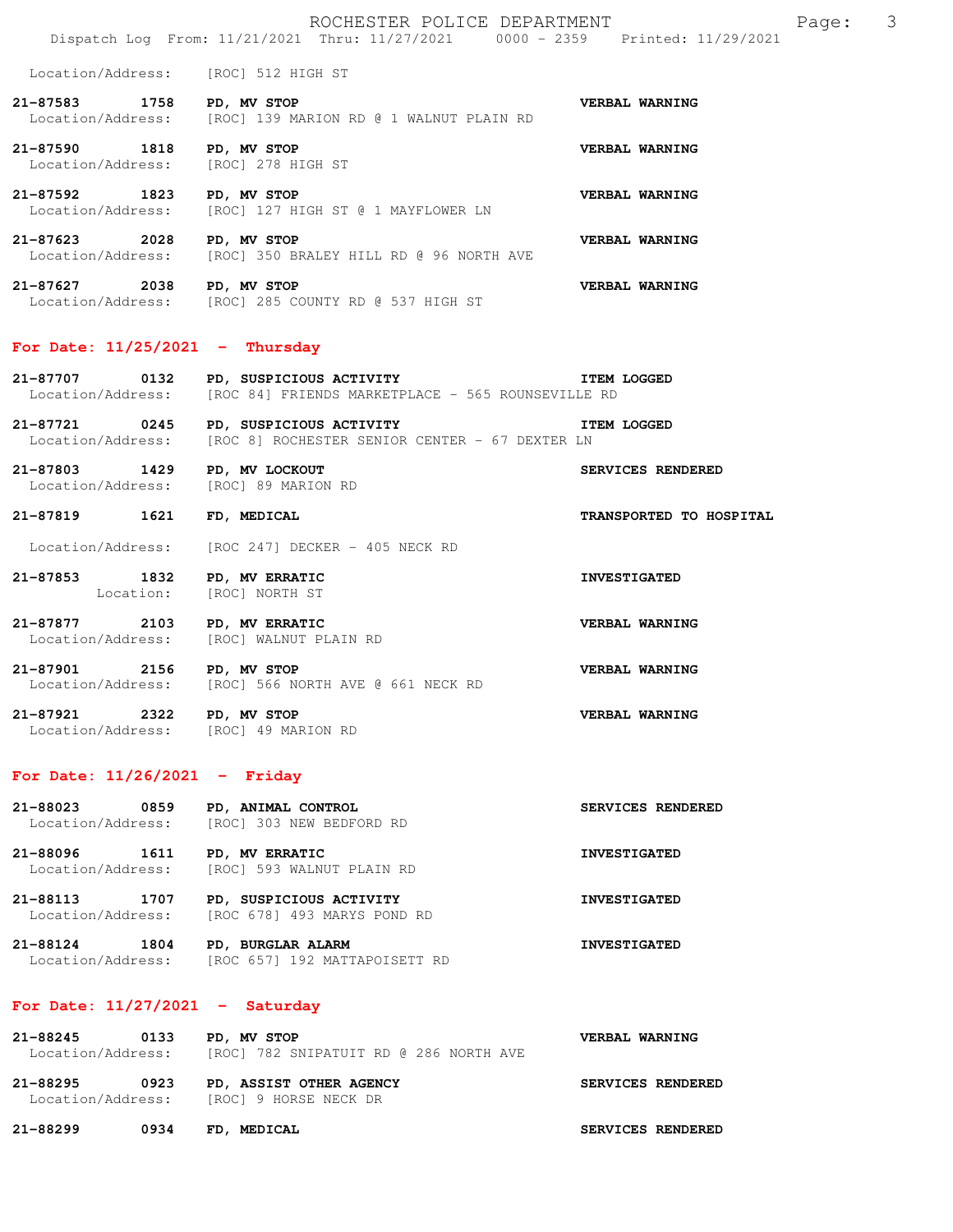ROCHESTER POLICE DEPARTMENT Page: 3 Dispatch Log From: 11/21/2021 Thru: 11/27/2021 0000 - 2359 Printed: 11/29/2021

Location/Address: [ROC] 512 HIGH ST

- **21-87583 1758 PD, MV STOP VERBAL WARNING**  Location/Address: [ROC] 139 MARION RD @ 1 WALNUT PLAIN RD
- **21-87590 1818 PD, MV STOP VERBAL WARNING**  Location/Address: [ROC] 278 HIGH ST

**21-87592 1823 PD, MV STOP VERBAL WARNING**  Location/Address: [ROC] 127 HIGH ST @ 1 MAYFLOWER LN

**21-87623 2028 PD, MV STOP VERBAL WARNING**  Location/Address: [ROC] 350 BRALEY HILL RD @ 96 NORTH AVE

**21-87627 2038 PD, MV STOP VERBAL WARNING**  Location/Address: [ROC] 285 COUNTY RD @ 537 HIGH ST

## **For Date: 11/25/2021 - Thursday**

- **21-87707 0132 PD, SUSPICIOUS ACTIVITY ITEM LOGGED**  Location/Address: [ROC 84] FRIENDS MARKETPLACE - 565 ROUNSEVILLE RD
- **21-87721 0245 PD, SUSPICIOUS ACTIVITY ITEM LOGGED**  Location/Address: [ROC 8] ROCHESTER SENIOR CENTER - 67 DEXTER LN
- **21-87803 1429 PD, MV LOCKOUT SERVICES RENDERED**  Location/Address: [ROC] 89 MARION RD
- **21-87819 1621 FD, MEDICAL TRANSPORTED TO HOSPITAL**
- Location/Address: [ROC 247] DECKER 405 NECK RD
- **21-87853 1832 PD, MV ERRATIC INVESTIGATED**  Location: [ROC] NORTH ST
- **21-87877 2103 PD, MV ERRATIC VERBAL WARNING**  Location/Address: [ROC] WALNUT PLAIN RD
- **21-87901 2156 PD, MV STOP VERBAL WARNING**  Location/Address: [ROC] 566 NORTH AVE @ 661 NECK RD

Location/Address: [ROC 678] 493 MARYS POND RD

**21-87921 2322 PD, MV STOP VERBAL WARNING**  Location/Address: [ROC] 49 MARION RD

## **For Date: 11/26/2021 - Friday**

| 21-88023<br>Location/Address: | 0859 | PD, ANIMAL CONTROL<br>[ROC] 303 NEW BEDFORD RD                | SERVICES RENDERED   |
|-------------------------------|------|---------------------------------------------------------------|---------------------|
| 21-88096                      | 1611 | PD, MV ERRATIC<br>Location/Address: [ROC] 593 WALNUT PLAIN RD | <b>INVESTIGATED</b> |
| 21-88113                      | 1707 | PD, SUSPICIOUS ACTIVITY                                       | <b>INVESTIGATED</b> |

**21-88124 1804 PD, BURGLAR ALARM INVESTIGATED**  Location/Address: [ROC 657] 192 MATTAPOISETT RD

## **For Date: 11/27/2021 - Saturday**

| 21-88245<br>Location/Address: | 0133 | PD, MV STOP<br>[ROC] 782 SNIPATUIT RD @ 286 NORTH AVE | VERBAL WARNING    |
|-------------------------------|------|-------------------------------------------------------|-------------------|
| 21-88295<br>Location/Address: | 0923 | PD, ASSIST OTHER AGENCY<br>[ROC] 9 HORSE NECK DR      | SERVICES RENDERED |

**21-88299 0934 FD, MEDICAL SERVICES RENDERED**